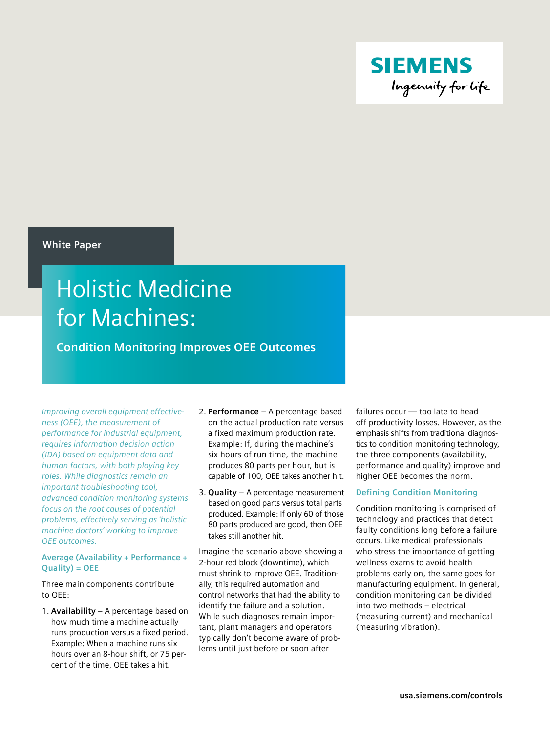

## **White Paper**

# Holistic Medicine for Machines:

**Condition Monitoring Improves OEE Outcomes**

*Improving overall equipment effectiveness (OEE), the measurement of performance for industrial equipment, requires information decision action (IDA) based on equipment data and human factors, with both playing key roles. While diagnostics remain an important troubleshooting tool, advanced condition monitoring systems focus on the root causes of potential problems, effectively serving as 'holistic machine doctors' working to improve OEE outcomes.*

## **Average (Availability + Performance + Quality) = OEE**

Three main components contribute to OEE:

1. **Availability** – A percentage based on how much time a machine actually runs production versus a fixed period. Example: When a machine runs six hours over an 8-hour shift, or 75 percent of the time, OEE takes a hit.

- 2. **Performance**  A percentage based on the actual production rate versus a fixed maximum production rate. Example: If, during the machine's six hours of run time, the machine produces 80 parts per hour, but is capable of 100, OEE takes another hit.
- 3. **Quality** A percentage measurement based on good parts versus total parts produced. Example: If only 60 of those 80 parts produced are good, then OEE takes still another hit.

Imagine the scenario above showing a 2-hour red block (downtime), which must shrink to improve OEE. Traditionally, this required automation and control networks that had the ability to identify the failure and a solution. While such diagnoses remain important, plant managers and operators typically don't become aware of problems until just before or soon after

failures occur — too late to head off productivity losses. However, as the emphasis shifts from traditional diagnostics to condition monitoring technology, the three components (availability, performance and quality) improve and higher OEE becomes the norm.

# **Defining Condition Monitoring**

Condition monitoring is comprised of technology and practices that detect faulty conditions long before a failure occurs. Like medical professionals who stress the importance of getting wellness exams to avoid health problems early on, the same goes for manufacturing equipment. In general, condition monitoring can be divided into two methods – electrical (measuring current) and mechanical (measuring vibration).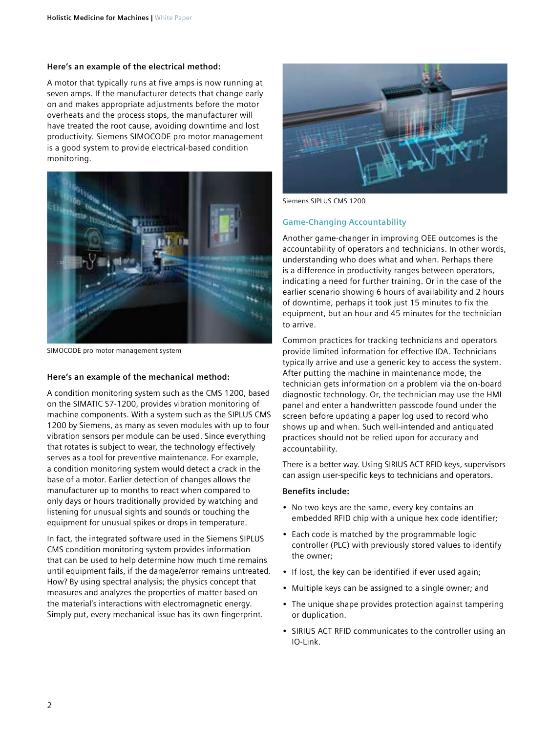#### **Here's an example of the electrical method:**

A motor that typically runs at five amps is now running at seven amps. If the manufacturer detects that change early on and makes appropriate adjustments before the motor overheats and the process stops, the manufacturer will have treated the root cause, avoiding downtime and lost productivity. Siemens SIMOCODE pro motor management is a good system to provide electrical-based condition monitoring.



SIMOCODE pro motor management system

#### **Here's an example of the mechanical method:**

A condition monitoring system such as the CMS 1200, based on the SIMATIC S7-1200, provides vibration monitoring of machine components. With a system such as the SIPLUS CMS 1200 by Siemens, as many as seven modules with up to four vibration sensors per module can be used. Since everything that rotates is subject to wear, the technology effectively serves as a tool for preventive maintenance. For example, a condition monitoring system would detect a crack in the base of a motor. Earlier detection of changes allows the manufacturer up to months to react when compared to only days or hours traditionally provided by watching and listening for unusual sights and sounds or touching the equipment for unusual spikes or drops in temperature.

In fact, the integrated software used in the Siemens SIPLUS CMS condition monitoring system provides information that can be used to help determine how much time remains until equipment fails, if the damage/error remains untreated. How? By using spectral analysis; the physics concept that measures and analyzes the properties of matter based on the material's interactions with electromagnetic energy. Simply put, every mechanical issue has its own fingerprint.



Siemens SIPLUS CMS 1200

#### **Game-Changing Accountability**

Another game-changer in improving OEE outcomes is the accountability of operators and technicians. In other words, understanding who does what and when. Perhaps there is a difference in productivity ranges between operators, indicating a need for further training. Or in the case of the earlier scenario showing 6 hours of availability and 2 hours of downtime, perhaps it took just 15 minutes to fix the equipment, but an hour and 45 minutes for the technician to arrive.

Common practices for tracking technicians and operators provide limited information for effective IDA. Technicians typically arrive and use a generic key to access the system. After putting the machine in maintenance mode, the technician gets information on a problem via the on-board diagnostic technology. Or, the technician may use the HMI panel and enter a handwritten passcode found under the screen before updating a paper log used to record who shows up and when. Such well-intended and antiquated practices should not be relied upon for accuracy and accountability.

There is a better way. Using SIRIUS ACT RFID keys, supervisors can assign user-specific keys to technicians and operators.

#### **Benefits include:**

- No two keys are the same, every key contains an embedded RFID chip with a unique hex code identifier;
- Each code is matched by the programmable logic controller (PLC) with previously stored values to identify the owner;
- If lost, the key can be identified if ever used again;
- Multiple keys can be assigned to a single owner; and
- The unique shape provides protection against tampering or duplication.
- SIRIUS ACT RFID communicates to the controller using an IO-Link.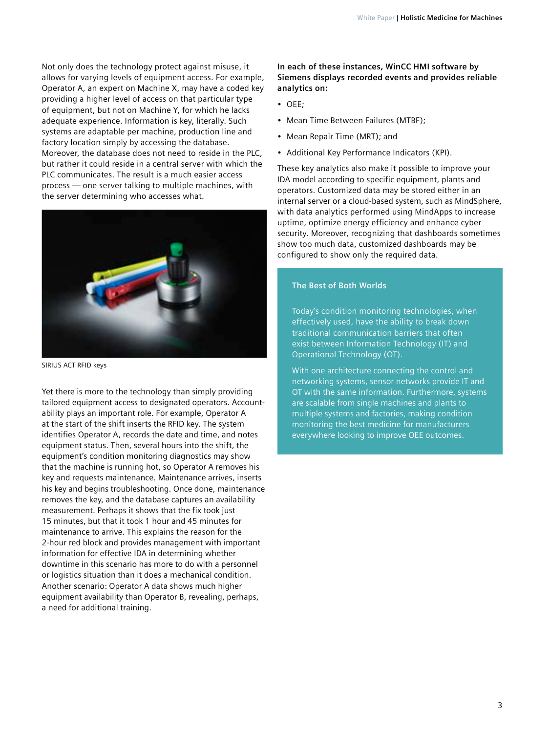Not only does the technology protect against misuse, it allows for varying levels of equipment access. For example, Operator A, an expert on Machine X, may have a coded key providing a higher level of access on that particular type of equipment, but not on Machine Y, for which he lacks adequate experience. Information is key, literally. Such systems are adaptable per machine, production line and factory location simply by accessing the database. Moreover, the database does not need to reside in the PLC, but rather it could reside in a central server with which the PLC communicates. The result is a much easier access process — one server talking to multiple machines, with the server determining who accesses what.



SIRIUS ACT RFID keys

Yet there is more to the technology than simply providing tailored equipment access to designated operators. Accountability plays an important role. For example, Operator A at the start of the shift inserts the RFID key. The system identifies Operator A, records the date and time, and notes equipment status. Then, several hours into the shift, the equipment's condition monitoring diagnostics may show that the machine is running hot, so Operator A removes his key and requests maintenance. Maintenance arrives, inserts his key and begins troubleshooting. Once done, maintenance removes the key, and the database captures an availability measurement. Perhaps it shows that the fix took just 15 minutes, but that it took 1 hour and 45 minutes for maintenance to arrive. This explains the reason for the 2-hour red block and provides management with important information for effective IDA in determining whether downtime in this scenario has more to do with a personnel or logistics situation than it does a mechanical condition. Another scenario: Operator A data shows much higher equipment availability than Operator B, revealing, perhaps, a need for additional training.

## **In each of these instances, WinCC HMI software by Siemens displays recorded events and provides reliable analytics on:**

- OEE;
- Mean Time Between Failures (MTBF);
- Mean Repair Time (MRT); and
- Additional Key Performance Indicators (KPI).

These key analytics also make it possible to improve your IDA model according to specific equipment, plants and operators. Customized data may be stored either in an internal server or a cloud-based system, such as MindSphere, with data analytics performed using MindApps to increase uptime, optimize energy efficiency and enhance cyber security. Moreover, recognizing that dashboards sometimes show too much data, customized dashboards may be configured to show only the required data.

## **The Best of Both Worlds**

Today's condition monitoring technologies, when effectively used, have the ability to break down traditional communication barriers that often exist between Information Technology (IT) and Operational Technology (OT).

With one architecture connecting the control and networking systems, sensor networks provide IT and OT with the same information. Furthermore, systems are scalable from single machines and plants to multiple systems and factories, making condition monitoring the best medicine for manufacturers everywhere looking to improve OEE outcomes.